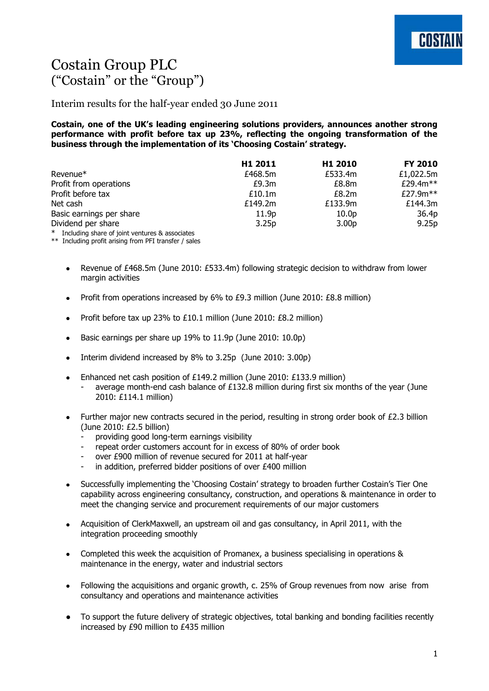# Costain Group PLC ("Costain" or the "Group")

Interim results for the half-year ended 30 June 2011

**Costain, one of the UK"s leading engineering solutions providers, announces another strong performance with profit before tax up 23%, reflecting the ongoing transformation of the business through the implementation of its "Choosing Costain" strategy.**

|                                                       | H1 2011           | H <sub>1</sub> 2010 | <b>FY 2010</b> |
|-------------------------------------------------------|-------------------|---------------------|----------------|
| Revenue*                                              | £468.5m           | £533.4m             | £1,022.5m      |
| Profit from operations                                | £9.3m             | £8.8m               | £29.4 $m^{**}$ |
| Profit before tax                                     | £10.1m            | £8.2m               | £27.9 $m^{**}$ |
| Net cash                                              | £149.2m           | £133.9m             | £144.3m        |
| Basic earnings per share                              | 11.9p             | 10.0 <sub>p</sub>   | 36.4p          |
| Dividend per share                                    | 3.25 <sub>p</sub> | 3.00 <sub>p</sub>   | 9.25p          |
| $*$ Including chara of joint ventures $\&$ accoriates |                   |                     |                |

Including share of joint ventures & assoc \*\* Including profit arising from PFI transfer / sales

- Revenue of £468.5m (June 2010: £533.4m) following strategic decision to withdraw from lower margin activities
- Profit from operations increased by 6% to £9.3 million (June 2010: £8.8 million)
- Profit before tax up 23% to £10.1 million (June 2010: £8.2 million)  $\bullet$
- Basic earnings per share up 19% to 11.9p (June 2010: 10.0p)
- Interim dividend increased by 8% to 3.25p (June 2010: 3.00p)
- Enhanced net cash position of £149.2 million (June 2010: £133.9 million) average month-end cash balance of £132.8 million during first six months of the year (June 2010: £114.1 million)
- Further major new contracts secured in the period, resulting in strong order book of £2.3 billion (June 2010: £2.5 billion)
	- providing good long-term earnings visibility
	- repeat order customers account for in excess of 80% of order book
	- over £900 million of revenue secured for 2011 at half-year
	- in addition, preferred bidder positions of over  $£400$  million
- Successfully implementing the 'Choosing Costain' strategy to broaden further Costain's Tier One  $\bullet$ capability across engineering consultancy, construction, and operations & maintenance in order to meet the changing service and procurement requirements of our major customers
- Acquisition of ClerkMaxwell, an upstream oil and gas consultancy, in April 2011, with the integration proceeding smoothly
- Completed this week the acquisition of Promanex, a business specialising in operations & maintenance in the energy, water and industrial sectors
- Following the acquisitions and organic growth, c. 25% of Group revenues from now arise from  $\bullet$ consultancy and operations and maintenance activities
- To support the future delivery of strategic objectives, total banking and bonding facilities recently increased by £90 million to £435 million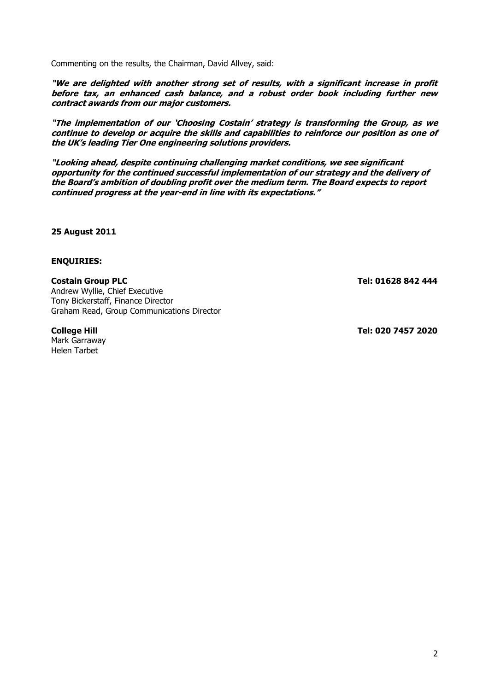Commenting on the results, the Chairman, David Allvey, said:

**"We are delighted with another strong set of results, with a significant increase in profit before tax, an enhanced cash balance, and a robust order book including further new contract awards from our major customers.** 

**"The implementation of our "Choosing Costain" strategy is transforming the Group, as we continue to develop or acquire the skills and capabilities to reinforce our position as one of the UK"s leading Tier One engineering solutions providers.** 

**"Looking ahead, despite continuing challenging market conditions, we see significant opportunity for the continued successful implementation of our strategy and the delivery of the Board"s ambition of doubling profit over the medium term. The Board expects to report continued progress at the year-end in line with its expectations."** 

**25 August 2011**

# **ENQUIRIES:**

Andrew Wyllie, Chief Executive Tony Bickerstaff, Finance Director Graham Read, Group Communications Director

Mark Garraway Helen Tarbet

**Costain Group PLC Tel: 01628 842 444**

**College Hill Tel: 020 7457 2020**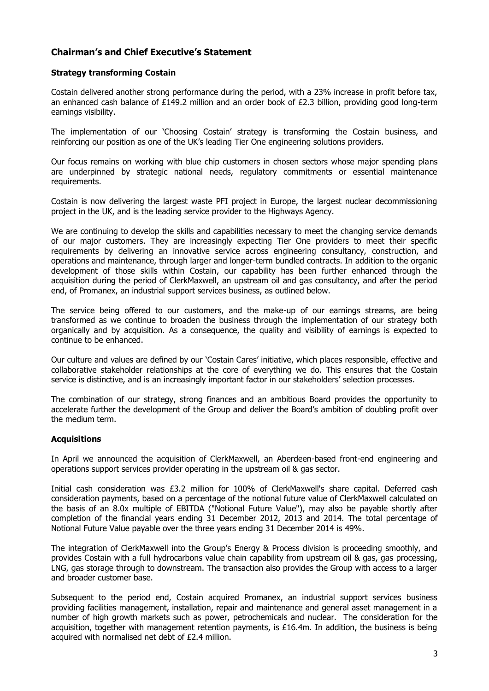# **Chairman"s and Chief Executive"s Statement**

# **Strategy transforming Costain**

Costain delivered another strong performance during the period, with a 23% increase in profit before tax, an enhanced cash balance of £149.2 million and an order book of £2.3 billion, providing good long-term earnings visibility.

The implementation of our 'Choosing Costain' strategy is transforming the Costain business, and reinforcing our position as one of the UK's leading Tier One engineering solutions providers.

Our focus remains on working with blue chip customers in chosen sectors whose major spending plans are underpinned by strategic national needs, regulatory commitments or essential maintenance requirements.

Costain is now delivering the largest waste PFI project in Europe, the largest nuclear decommissioning project in the UK, and is the leading service provider to the Highways Agency.

We are continuing to develop the skills and capabilities necessary to meet the changing service demands of our major customers. They are increasingly expecting Tier One providers to meet their specific requirements by delivering an innovative service across engineering consultancy, construction, and operations and maintenance, through larger and longer-term bundled contracts. In addition to the organic development of those skills within Costain, our capability has been further enhanced through the acquisition during the period of ClerkMaxwell, an upstream oil and gas consultancy, and after the period end, of Promanex, an industrial support services business, as outlined below.

The service being offered to our customers, and the make-up of our earnings streams, are being transformed as we continue to broaden the business through the implementation of our strategy both organically and by acquisition. As a consequence, the quality and visibility of earnings is expected to continue to be enhanced.

Our culture and values are defined by our 'Costain Cares' initiative, which places responsible, effective and collaborative stakeholder relationships at the core of everything we do. This ensures that the Costain service is distinctive, and is an increasingly important factor in our stakeholders' selection processes.

The combination of our strategy, strong finances and an ambitious Board provides the opportunity to accelerate further the development of the Group and deliver the Board's ambition of doubling profit over the medium term.

# **Acquisitions**

In April we announced the acquisition of ClerkMaxwell, an Aberdeen-based front-end engineering and operations support services provider operating in the upstream oil & gas sector.

Initial cash consideration was £3.2 million for 100% of ClerkMaxwell's share capital. Deferred cash consideration payments, based on a percentage of the notional future value of ClerkMaxwell calculated on the basis of an 8.0x multiple of EBITDA ("Notional Future Value"), may also be payable shortly after completion of the financial years ending 31 December 2012, 2013 and 2014. The total percentage of Notional Future Value payable over the three years ending 31 December 2014 is 49%.

The integration of ClerkMaxwell into the Group's Energy & Process division is proceeding smoothly, and provides Costain with a full hydrocarbons value chain capability from upstream oil & gas, gas processing, LNG, gas storage through to downstream. The transaction also provides the Group with access to a larger and broader customer base.

Subsequent to the period end, Costain acquired Promanex, an industrial support services business providing facilities management, installation, repair and maintenance and general asset management in a number of high growth markets such as power, petrochemicals and nuclear. The consideration for the acquisition, together with management retention payments, is £16.4m. In addition, the business is being acquired with normalised net debt of £2.4 million.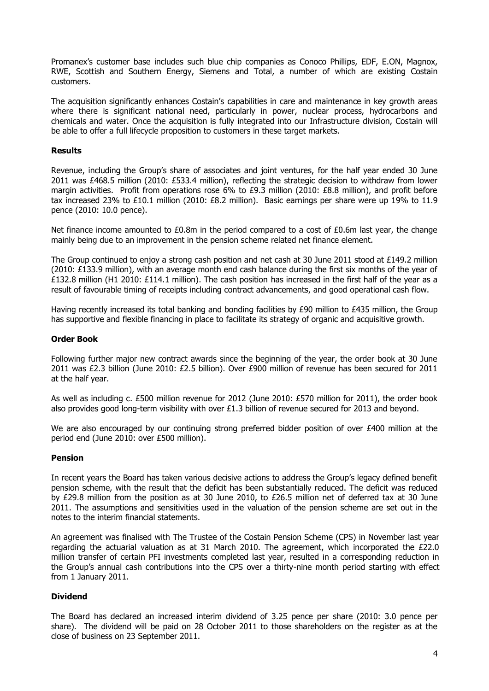Promanex's customer base includes such blue chip companies as Conoco Phillips, EDF, E.ON, Magnox, RWE, Scottish and Southern Energy, Siemens and Total, a number of which are existing Costain customers.

The acquisition significantly enhances Costain's capabilities in care and maintenance in key growth areas where there is significant national need, particularly in power, nuclear process, hydrocarbons and chemicals and water. Once the acquisition is fully integrated into our Infrastructure division, Costain will be able to offer a full lifecycle proposition to customers in these target markets.

# **Results**

Revenue, including the Group's share of associates and joint ventures, for the half year ended 30 June 2011 was £468.5 million (2010: £533.4 million), reflecting the strategic decision to withdraw from lower margin activities. Profit from operations rose 6% to £9.3 million (2010: £8.8 million), and profit before tax increased 23% to £10.1 million (2010: £8.2 million). Basic earnings per share were up 19% to 11.9 pence (2010: 10.0 pence).

Net finance income amounted to £0.8m in the period compared to a cost of £0.6m last year, the change mainly being due to an improvement in the pension scheme related net finance element.

The Group continued to enjoy a strong cash position and net cash at 30 June 2011 stood at £149.2 million (2010: £133.9 million), with an average month end cash balance during the first six months of the year of £132.8 million (H1 2010: £114.1 million). The cash position has increased in the first half of the year as a result of favourable timing of receipts including contract advancements, and good operational cash flow.

Having recently increased its total banking and bonding facilities by £90 million to £435 million, the Group has supportive and flexible financing in place to facilitate its strategy of organic and acquisitive growth.

# **Order Book**

Following further major new contract awards since the beginning of the year, the order book at 30 June 2011 was £2.3 billion (June 2010: £2.5 billion). Over £900 million of revenue has been secured for 2011 at the half year.

As well as including c. £500 million revenue for 2012 (June 2010: £570 million for 2011), the order book also provides good long-term visibility with over £1.3 billion of revenue secured for 2013 and beyond.

We are also encouraged by our continuing strong preferred bidder position of over £400 million at the period end (June 2010: over £500 million).

#### **Pension**

In recent years the Board has taken various decisive actions to address the Group's legacy defined benefit pension scheme, with the result that the deficit has been substantially reduced. The deficit was reduced by £29.8 million from the position as at 30 June 2010, to £26.5 million net of deferred tax at 30 June 2011. The assumptions and sensitivities used in the valuation of the pension scheme are set out in the notes to the interim financial statements.

An agreement was finalised with The Trustee of the Costain Pension Scheme (CPS) in November last year regarding the actuarial valuation as at 31 March 2010. The agreement, which incorporated the £22.0 million transfer of certain PFI investments completed last year, resulted in a corresponding reduction in the Group's annual cash contributions into the CPS over a thirty-nine month period starting with effect from 1 January 2011.

# **Dividend**

The Board has declared an increased interim dividend of 3.25 pence per share (2010: 3.0 pence per share). The dividend will be paid on 28 October 2011 to those shareholders on the register as at the close of business on 23 September 2011.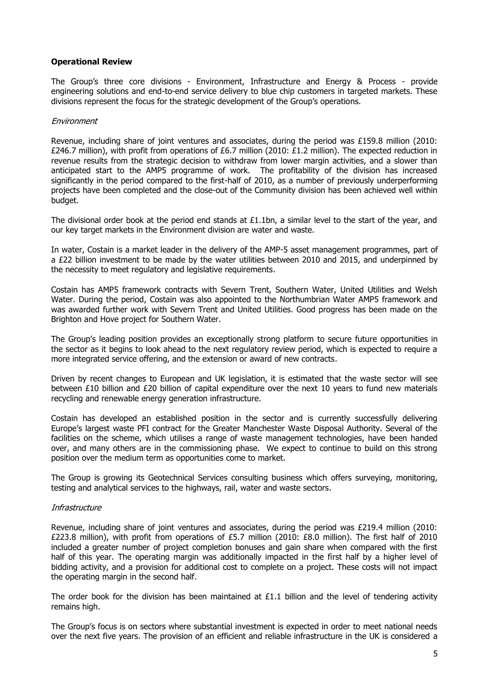# **Operational Review**

The Group's three core divisions - Environment, Infrastructure and Energy & Process - provide engineering solutions and end-to-end service delivery to blue chip customers in targeted markets. These divisions represent the focus for the strategic development of the Group's operations.

# Environment

Revenue, including share of joint ventures and associates, during the period was £159.8 million (2010: £246.7 million), with profit from operations of £6.7 million (2010: £1.2 million). The expected reduction in revenue results from the strategic decision to withdraw from lower margin activities, and a slower than anticipated start to the AMP5 programme of work. The profitability of the division has increased significantly in the period compared to the first-half of 2010, as a number of previously underperforming projects have been completed and the close-out of the Community division has been achieved well within budget.

The divisional order book at the period end stands at £1.1bn, a similar level to the start of the year, and our key target markets in the Environment division are water and waste.

In water, Costain is a market leader in the delivery of the AMP-5 asset management programmes, part of a £22 billion investment to be made by the water utilities between 2010 and 2015, and underpinned by the necessity to meet regulatory and legislative requirements.

Costain has AMP5 framework contracts with Severn Trent, Southern Water, United Utilities and Welsh Water. During the period, Costain was also appointed to the Northumbrian Water AMP5 framework and was awarded further work with Severn Trent and United Utilities. Good progress has been made on the Brighton and Hove project for Southern Water.

The Group's leading position provides an exceptionally strong platform to secure future opportunities in the sector as it begins to look ahead to the next regulatory review period, which is expected to require a more integrated service offering, and the extension or award of new contracts.

Driven by recent changes to European and UK legislation, it is estimated that the waste sector will see between £10 billion and £20 billion of capital expenditure over the next 10 years to fund new materials recycling and renewable energy generation infrastructure.

Costain has developed an established position in the sector and is currently successfully delivering Europe's largest waste PFI contract for the Greater Manchester Waste Disposal Authority. Several of the facilities on the scheme, which utilises a range of waste management technologies, have been handed over, and many others are in the commissioning phase. We expect to continue to build on this strong position over the medium term as opportunities come to market.

The Group is growing its Geotechnical Services consulting business which offers surveying, monitoring, testing and analytical services to the highways, rail, water and waste sectors.

# **Infrastructure**

Revenue, including share of joint ventures and associates, during the period was £219.4 million (2010: £223.8 million), with profit from operations of £5.7 million (2010: £8.0 million). The first half of 2010 included a greater number of project completion bonuses and gain share when compared with the first half of this year. The operating margin was additionally impacted in the first half by a higher level of bidding activity, and a provision for additional cost to complete on a project. These costs will not impact the operating margin in the second half.

The order book for the division has been maintained at  $£1.1$  billion and the level of tendering activity remains high.

The Group's focus is on sectors where substantial investment is expected in order to meet national needs over the next five years. The provision of an efficient and reliable infrastructure in the UK is considered a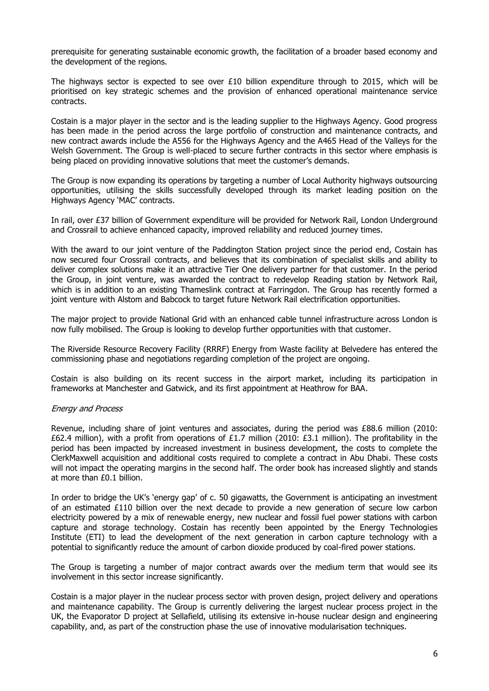prerequisite for generating sustainable economic growth, the facilitation of a broader based economy and the development of the regions.

The highways sector is expected to see over £10 billion expenditure through to 2015, which will be prioritised on key strategic schemes and the provision of enhanced operational maintenance service contracts.

Costain is a major player in the sector and is the leading supplier to the Highways Agency. Good progress has been made in the period across the large portfolio of construction and maintenance contracts, and new contract awards include the A556 for the Highways Agency and the A465 Head of the Valleys for the Welsh Government. The Group is well-placed to secure further contracts in this sector where emphasis is being placed on providing innovative solutions that meet the customer's demands.

The Group is now expanding its operations by targeting a number of Local Authority highways outsourcing opportunities, utilising the skills successfully developed through its market leading position on the Highways Agency 'MAC' contracts.

In rail, over £37 billion of Government expenditure will be provided for Network Rail, London Underground and Crossrail to achieve enhanced capacity, improved reliability and reduced journey times.

With the award to our joint venture of the Paddington Station project since the period end, Costain has now secured four Crossrail contracts, and believes that its combination of specialist skills and ability to deliver complex solutions make it an attractive Tier One delivery partner for that customer. In the period the Group, in joint venture, was awarded the contract to redevelop Reading station by Network Rail, which is in addition to an existing Thameslink contract at Farringdon. The Group has recently formed a joint venture with Alstom and Babcock to target future Network Rail electrification opportunities.

The major project to provide National Grid with an enhanced cable tunnel infrastructure across London is now fully mobilised. The Group is looking to develop further opportunities with that customer.

The Riverside Resource Recovery Facility (RRRF) Energy from Waste facility at Belvedere has entered the commissioning phase and negotiations regarding completion of the project are ongoing.

Costain is also building on its recent success in the airport market, including its participation in frameworks at Manchester and Gatwick, and its first appointment at Heathrow for BAA.

#### Energy and Process

Revenue, including share of joint ventures and associates, during the period was £88.6 million (2010: £62.4 million), with a profit from operations of £1.7 million (2010: £3.1 million). The profitability in the period has been impacted by increased investment in business development, the costs to complete the ClerkMaxwell acquisition and additional costs required to complete a contract in Abu Dhabi. These costs will not impact the operating margins in the second half. The order book has increased slightly and stands at more than £0.1 billion.

In order to bridge the UK's 'energy gap' of c. 50 gigawatts, the Government is anticipating an investment of an estimated £110 billion over the next decade to provide a new generation of secure low carbon electricity powered by a mix of renewable energy, new nuclear and fossil fuel power stations with carbon capture and storage technology. Costain has recently been appointed by the Energy Technologies Institute (ETI) to lead the development of the next generation in carbon capture technology with a potential to significantly reduce the amount of carbon dioxide produced by coal-fired power stations.

The Group is targeting a number of major contract awards over the medium term that would see its involvement in this sector increase significantly.

Costain is a major player in the nuclear process sector with proven design, project delivery and operations and maintenance capability. The Group is currently delivering the largest nuclear process project in the UK, the Evaporator D project at Sellafield, utilising its extensive in-house nuclear design and engineering capability, and, as part of the construction phase the use of innovative modularisation techniques.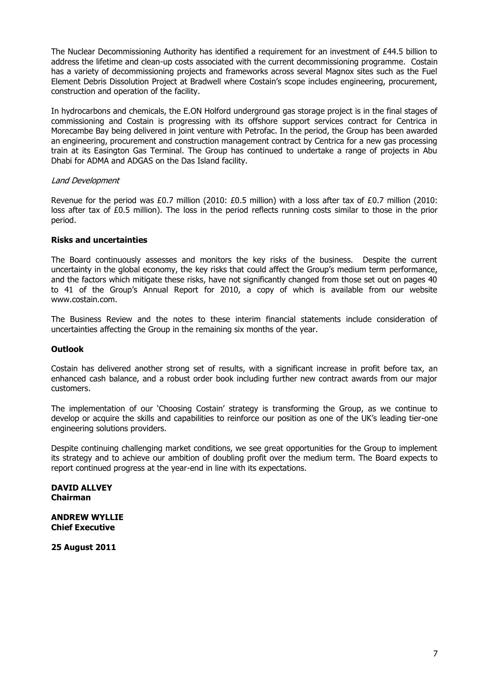The Nuclear Decommissioning Authority has identified a requirement for an investment of £44.5 billion to address the lifetime and clean-up costs associated with the current decommissioning programme. Costain has a variety of decommissioning projects and frameworks across several Magnox sites such as the Fuel Element Debris Dissolution Project at Bradwell where Costain's scope includes engineering, procurement, construction and operation of the facility.

In hydrocarbons and chemicals, the E.ON Holford underground gas storage project is in the final stages of commissioning and Costain is progressing with its offshore support services contract for Centrica in Morecambe Bay being delivered in joint venture with Petrofac. In the period, the Group has been awarded an engineering, procurement and construction management contract by Centrica for a new gas processing train at its Easington Gas Terminal. The Group has continued to undertake a range of projects in Abu Dhabi for ADMA and ADGAS on the Das Island facility.

# Land Development

Revenue for the period was £0.7 million (2010: £0.5 million) with a loss after tax of £0.7 million (2010: loss after tax of £0.5 million). The loss in the period reflects running costs similar to those in the prior period.

# **Risks and uncertainties**

The Board continuously assesses and monitors the key risks of the business. Despite the current uncertainty in the global economy, the key risks that could affect the Group's medium term performance, and the factors which mitigate these risks, have not significantly changed from those set out on pages 40 to 41 of the Group's Annual Report for 2010, a copy of which is available from our website www.costain.com.

The Business Review and the notes to these interim financial statements include consideration of uncertainties affecting the Group in the remaining six months of the year.

#### **Outlook**

Costain has delivered another strong set of results, with a significant increase in profit before tax, an enhanced cash balance, and a robust order book including further new contract awards from our major customers.

The implementation of our 'Choosing Costain' strategy is transforming the Group, as we continue to develop or acquire the skills and capabilities to reinforce our position as one of the UK's leading tier-one engineering solutions providers.

Despite continuing challenging market conditions, we see great opportunities for the Group to implement its strategy and to achieve our ambition of doubling profit over the medium term. The Board expects to report continued progress at the year-end in line with its expectations.

**DAVID ALLVEY Chairman**

**ANDREW WYLLIE Chief Executive**

**25 August 2011**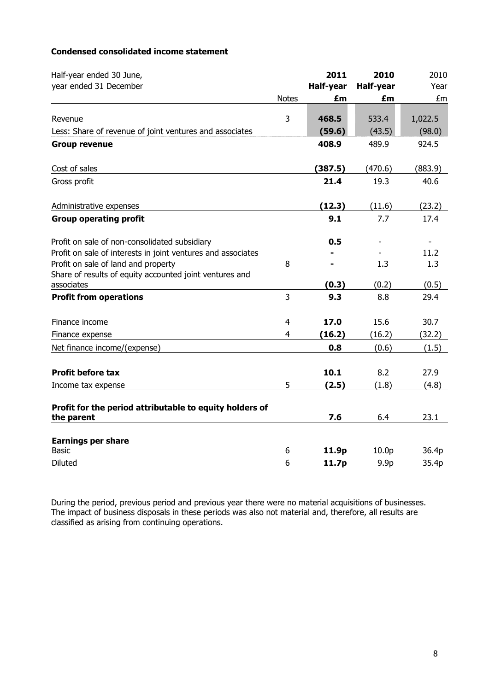| <b>Condensed consolidated income statement</b> |  |  |
|------------------------------------------------|--|--|
|------------------------------------------------|--|--|

| Half-year ended 30 June,                                     |              | 2011      | 2010              | 2010    |
|--------------------------------------------------------------|--------------|-----------|-------------------|---------|
| year ended 31 December                                       |              | Half-year | Half-year         | Year    |
|                                                              | <b>Notes</b> | £m        | £m                | £m      |
|                                                              |              |           |                   |         |
| Revenue                                                      | 3            | 468.5     | 533.4             | 1,022.5 |
| Less: Share of revenue of joint ventures and associates      |              | (59.6)    | (43.5)            | (98.0)  |
| <b>Group revenue</b>                                         |              | 408.9     | 489.9             | 924.5   |
| Cost of sales                                                |              | (387.5)   | (470.6)           | (883.9) |
| Gross profit                                                 |              | 21.4      | 19.3              | 40.6    |
| Administrative expenses                                      |              | (12.3)    | (11.6)            | (23.2)  |
| <b>Group operating profit</b>                                |              | 9.1       | 7.7               | 17.4    |
| Profit on sale of non-consolidated subsidiary                |              | 0.5       |                   |         |
| Profit on sale of interests in joint ventures and associates |              |           |                   | 11.2    |
| Profit on sale of land and property                          | 8            |           | 1.3               | 1.3     |
| Share of results of equity accounted joint ventures and      |              |           |                   |         |
| associates                                                   |              | (0.3)     | (0.2)             | (0.5)   |
| <b>Profit from operations</b>                                | 3            | 9.3       | 8.8               | 29.4    |
| Finance income                                               | 4            | 17.0      | 15.6              | 30.7    |
| Finance expense                                              | 4            | (16.2)    | (16.2)            | (32.2)  |
| Net finance income/(expense)                                 |              | 0.8       | (0.6)             | (1.5)   |
|                                                              |              |           |                   |         |
| Profit before tax                                            |              | 10.1      | 8.2               | 27.9    |
| Income tax expense                                           | 5            | (2.5)     | (1.8)             | (4.8)   |
| Profit for the period attributable to equity holders of      |              |           |                   |         |
| the parent                                                   |              | 7.6       | 6.4               | 23.1    |
| <b>Earnings per share</b>                                    |              |           |                   |         |
| Basic                                                        | 6            | 11.9p     | 10.0 <sub>p</sub> | 36.4p   |
| <b>Diluted</b>                                               | 6            | 11.7p     | 9.9 <sub>p</sub>  | 35.4p   |

During the period, previous period and previous year there were no material acquisitions of businesses. The impact of business disposals in these periods was also not material and, therefore, all results are classified as arising from continuing operations.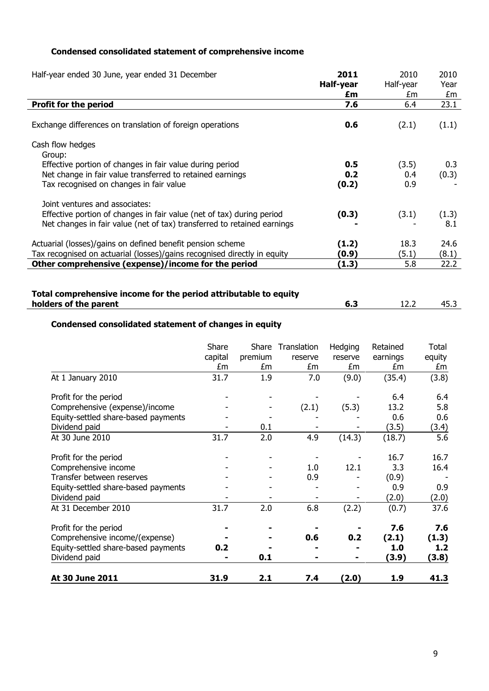# **Condensed consolidated statement of comprehensive income**

| Half-year ended 30 June, year ended 31 December                                           | 2011      | 2010      | 2010  |
|-------------------------------------------------------------------------------------------|-----------|-----------|-------|
|                                                                                           | Half-year | Half-year | Year  |
|                                                                                           | £m        | £m        | £m    |
| <b>Profit for the period</b>                                                              | 7.6       | 6.4       | 23.1  |
| Exchange differences on translation of foreign operations                                 | 0.6       | (2.1)     | (1.1) |
| Cash flow hedges<br>Group:                                                                |           |           |       |
| Effective portion of changes in fair value during period                                  | 0.5       | (3.5)     | 0.3   |
| Net change in fair value transferred to retained earnings                                 | 0.2       | 0.4       | (0.3) |
| Tax recognised on changes in fair value                                                   | (0.2)     | 0.9       |       |
| Joint ventures and associates:                                                            |           |           |       |
| Effective portion of changes in fair value (net of tax) during period                     | (0.3)     | (3.1)     | (1.3) |
| Net changes in fair value (net of tax) transferred to retained earnings                   |           |           | 8.1   |
|                                                                                           |           |           |       |
| Actuarial (losses)/gains on defined benefit pension scheme                                | (1.2)     | 18.3      | 24.6  |
| Tax recognised on actuarial (losses)/gains recognised directly in equity                  | (0.9)     | (5.1)     | (8.1) |
| Other comprehensive (expense)/income for the period                                       | (1.3)     | 5.8       | 22.2  |
|                                                                                           |           |           |       |
| Total comprehensive income for the period attributable to equity<br>holders of the parent | 6.3       | 12.2      | 45.3  |

# **Condensed consolidated statement of changes in equity**

|                                     | Share   | Share   | Translation | <b>Hedging</b> | Retained | Total  |
|-------------------------------------|---------|---------|-------------|----------------|----------|--------|
|                                     | capital | premium | reserve     | reserve        | earnings | equity |
|                                     | £m      | £m      | £m          | £m             | £m       | £m     |
| At 1 January 2010                   | 31.7    | 1.9     | 7.0         | (9.0)          | (35.4)   | (3.8)  |
| Profit for the period               |         |         |             |                | 6.4      | 6.4    |
| Comprehensive (expense)/income      |         |         | (2.1)       | (5.3)          | 13.2     | 5.8    |
| Equity-settled share-based payments |         |         |             |                | 0.6      | 0.6    |
| Dividend paid                       |         | 0.1     |             |                | (3.5)    | (3.4)  |
| At 30 June 2010                     | 31.7    | 2.0     | 4.9         | (14.3)         | (18.7)   | 5.6    |
| Profit for the period               |         |         |             |                | 16.7     | 16.7   |
| Comprehensive income                |         |         | 1.0         | 12.1           | 3.3      | 16.4   |
| Transfer between reserves           |         |         | 0.9         |                | (0.9)    |        |
| Equity-settled share-based payments |         |         |             |                | 0.9      | 0.9    |
| Dividend paid                       |         |         |             |                | (2.0)    | (2.0)  |
| At 31 December 2010                 | 31.7    | 2.0     | 6.8         | (2.2)          | (0.7)    | 37.6   |
| Profit for the period               |         |         |             |                | 7.6      | 7.6    |
| Comprehensive income/(expense)      |         |         | 0.6         | 0.2            | (2.1)    | (1.3)  |
| Equity-settled share-based payments | 0.2     |         |             |                | 1.0      | 1.2    |
| Dividend paid                       |         | 0.1     |             | ۰              | (3.9)    | (3.8)  |
| At 30 June 2011                     | 31.9    | 2.1     | 7.4         | (2.0)          | 1.9      | 41.3   |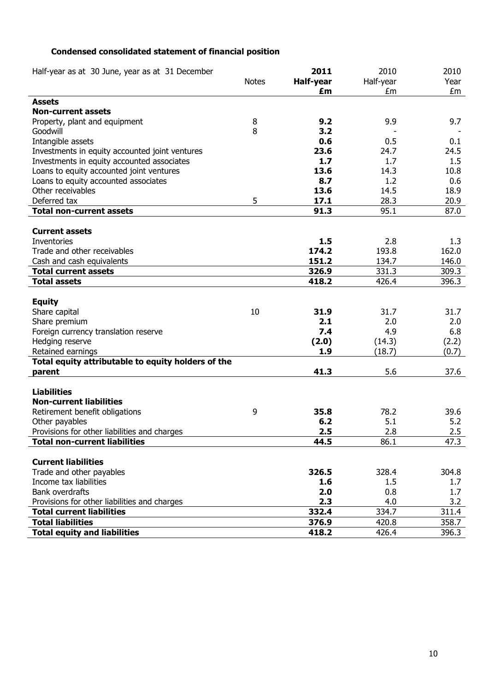# **Condensed consolidated statement of financial position**

| Half-year as at 30 June, year as at 31 December    |              | 2011      | 2010      | 2010  |
|----------------------------------------------------|--------------|-----------|-----------|-------|
|                                                    | <b>Notes</b> | Half-year | Half-year | Year  |
|                                                    |              | £m        | £m        | £m    |
| <b>Assets</b>                                      |              |           |           |       |
| <b>Non-current assets</b>                          |              |           |           |       |
| Property, plant and equipment                      | 8            | 9.2       | 9.9       | 9.7   |
| Goodwill                                           | 8            | 3.2       |           |       |
| Intangible assets                                  |              | 0.6       | 0.5       | 0.1   |
| Investments in equity accounted joint ventures     |              | 23.6      | 24.7      | 24.5  |
| Investments in equity accounted associates         |              | 1.7       | 1.7       | 1.5   |
| Loans to equity accounted joint ventures           |              | 13.6      | 14.3      | 10.8  |
| Loans to equity accounted associates               |              | 8.7       | 1.2       | 0.6   |
| Other receivables                                  |              | 13.6      | 14.5      | 18.9  |
| Deferred tax                                       | 5            | 17.1      | 28.3      | 20.9  |
| <b>Total non-current assets</b>                    |              | 91.3      | 95.1      | 87.0  |
|                                                    |              |           |           |       |
| <b>Current assets</b>                              |              |           |           |       |
| <b>Inventories</b>                                 |              | 1.5       | 2.8       | 1.3   |
| Trade and other receivables                        |              | 174.2     | 193.8     | 162.0 |
| Cash and cash equivalents                          |              | 151.2     | 134.7     | 146.0 |
| <b>Total current assets</b>                        |              | 326.9     | 331.3     | 309.3 |
| <b>Total assets</b>                                |              | 418.2     | 426.4     | 396.3 |
|                                                    |              |           |           |       |
| <b>Equity</b>                                      |              |           |           |       |
| Share capital                                      | 10           | 31.9      | 31.7      | 31.7  |
| Share premium                                      |              | 2.1       | 2.0       | 2.0   |
| Foreign currency translation reserve               |              | 7.4       | 4.9       | 6.8   |
| Hedging reserve                                    |              | (2.0)     | (14.3)    | (2.2) |
| Retained earnings                                  |              | 1.9       | (18.7)    | (0.7) |
| Total equity attributable to equity holders of the |              |           |           |       |
| parent                                             |              | 41.3      | 5.6       | 37.6  |
|                                                    |              |           |           |       |
| <b>Liabilities</b>                                 |              |           |           |       |
| <b>Non-current liabilities</b>                     |              |           |           |       |
| Retirement benefit obligations                     | 9            | 35.8      | 78.2      | 39.6  |
| Other payables                                     |              | 6.2       | 5.1       | 5.2   |
| Provisions for other liabilities and charges       |              | 2.5       | 2.8       | 2.5   |
| <b>Total non-current liabilities</b>               |              | 44.5      | 86.1      | 47.3  |
|                                                    |              |           |           |       |
| <b>Current liabilities</b>                         |              |           |           |       |
| Trade and other payables                           |              | 326.5     | 328.4     | 304.8 |
| Income tax liabilities                             |              | 1.6       | 1.5       | 1.7   |
| <b>Bank overdrafts</b>                             |              | 2.0       | 0.8       | 1.7   |
| Provisions for other liabilities and charges       |              | 2.3       | 4.0       | 3.2   |
| <b>Total current liabilities</b>                   |              | 332.4     | 334.7     | 311.4 |
| <b>Total liabilities</b>                           |              | 376.9     | 420.8     | 358.7 |
| <b>Total equity and liabilities</b>                |              | 418.2     | 426.4     | 396.3 |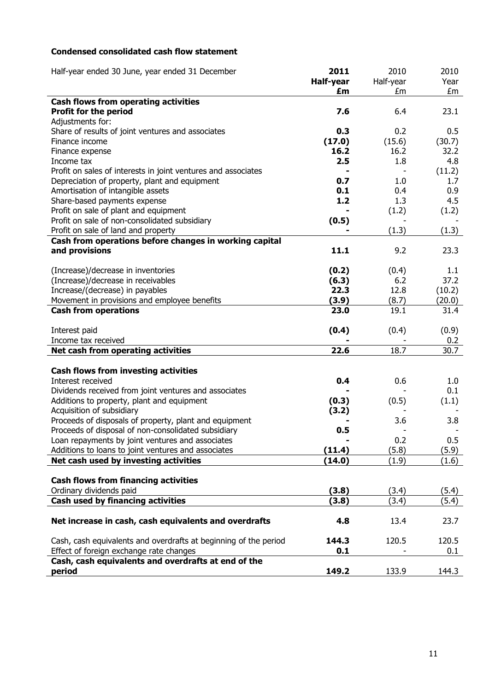# **Condensed consolidated cash flow statement**

| Half-year ended 30 June, year ended 31 December                  | 2011      | 2010      | 2010   |
|------------------------------------------------------------------|-----------|-----------|--------|
|                                                                  | Half-year | Half-year | Year   |
|                                                                  | £m        | £m        | £m     |
| Cash flows from operating activities                             |           |           |        |
| <b>Profit for the period</b>                                     | 7.6       | 6.4       | 23.1   |
| Adjustments for:                                                 |           |           |        |
| Share of results of joint ventures and associates                | 0.3       | 0.2       | 0.5    |
| Finance income                                                   | (17.0)    | (15.6)    | (30.7) |
| Finance expense                                                  | 16.2      | 16.2      | 32.2   |
| Income tax                                                       | 2.5       | 1.8       | 4.8    |
| Profit on sales of interests in joint ventures and associates    |           |           | (11.2) |
| Depreciation of property, plant and equipment                    | 0.7       | 1.0       | 1.7    |
| Amortisation of intangible assets                                | 0.1       | 0.4       | 0.9    |
| Share-based payments expense                                     | 1.2       | 1.3       | 4.5    |
| Profit on sale of plant and equipment                            |           | (1.2)     | (1.2)  |
| Profit on sale of non-consolidated subsidiary                    | (0.5)     |           |        |
| Profit on sale of land and property                              |           | (1.3)     | (1.3)  |
| Cash from operations before changes in working capital           |           |           |        |
| and provisions                                                   | 11.1      | 9.2       | 23.3   |
|                                                                  |           |           |        |
| (Increase)/decrease in inventories                               | (0.2)     | (0.4)     | 1.1    |
| (Increase)/decrease in receivables                               | (6.3)     | 6.2       | 37.2   |
| Increase/(decrease) in payables                                  | 22.3      | 12.8      | (10.2) |
| Movement in provisions and employee benefits                     | (3.9)     | (8.7)     | (20.0) |
| <b>Cash from operations</b>                                      | 23.0      | 19.1      | 31.4   |
|                                                                  |           |           |        |
| Interest paid                                                    | (0.4)     | (0.4)     | (0.9)  |
| Income tax received                                              |           |           | 0.2    |
| <b>Net cash from operating activities</b>                        | 22.6      | 18.7      | 30.7   |
|                                                                  |           |           |        |
| <b>Cash flows from investing activities</b>                      |           |           |        |
| Interest received                                                | 0.4       | 0.6       | 1.0    |
| Dividends received from joint ventures and associates            |           |           | 0.1    |
| Additions to property, plant and equipment                       | (0.3)     | (0.5)     | (1.1)  |
| Acquisition of subsidiary                                        | (3.2)     |           |        |
| Proceeds of disposals of property, plant and equipment           |           | 3.6       | 3.8    |
| Proceeds of disposal of non-consolidated subsidiary              | 0.5       |           |        |
| Loan repayments by joint ventures and associates                 |           | 0.2       | 0.5    |
| Additions to loans to joint ventures and associates              | (11.4)    | (5.8)     | (5.9)  |
| Net cash used by investing activities                            | (14.0)    | (1.9)     | (1.6)  |
|                                                                  |           |           |        |
| <b>Cash flows from financing activities</b>                      |           |           |        |
| Ordinary dividends paid                                          | (3.8)     | (3.4)     | (5.4)  |
| Cash used by financing activities                                | (3.8)     | (3.4)     | (5.4)  |
| Net increase in cash, cash equivalents and overdrafts            | 4.8       | 13.4      | 23.7   |
|                                                                  |           |           |        |
| Cash, cash equivalents and overdrafts at beginning of the period | 144.3     | 120.5     | 120.5  |
| Effect of foreign exchange rate changes                          | 0.1       |           | 0.1    |
| Cash, cash equivalents and overdrafts at end of the              |           |           |        |
| period                                                           | 149.2     | 133.9     | 144.3  |
|                                                                  |           |           |        |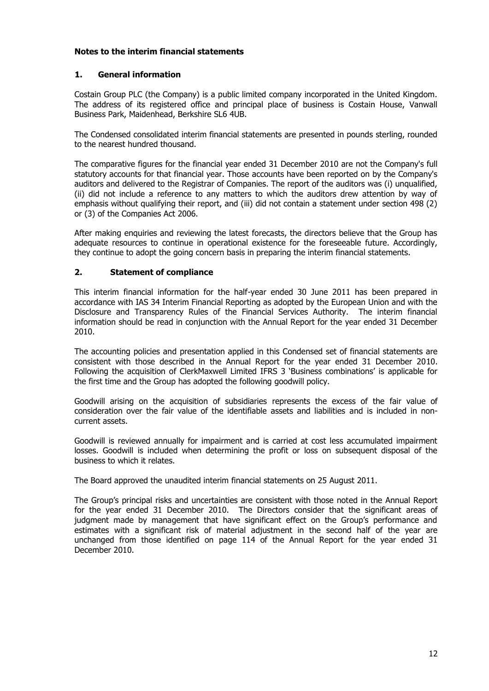# **Notes to the interim financial statements**

# **1. General information**

Costain Group PLC (the Company) is a public limited company incorporated in the United Kingdom. The address of its registered office and principal place of business is Costain House, Vanwall Business Park, Maidenhead, Berkshire SL6 4UB.

The Condensed consolidated interim financial statements are presented in pounds sterling, rounded to the nearest hundred thousand.

The comparative figures for the financial year ended 31 December 2010 are not the Company's full statutory accounts for that financial year. Those accounts have been reported on by the Company's auditors and delivered to the Registrar of Companies. The report of the auditors was (i) unqualified, (ii) did not include a reference to any matters to which the auditors drew attention by way of emphasis without qualifying their report, and (iii) did not contain a statement under section 498 (2) or (3) of the Companies Act 2006.

After making enquiries and reviewing the latest forecasts, the directors believe that the Group has adequate resources to continue in operational existence for the foreseeable future. Accordingly, they continue to adopt the going concern basis in preparing the interim financial statements.

# **2. Statement of compliance**

This interim financial information for the half-year ended 30 June 2011 has been prepared in accordance with IAS 34 Interim Financial Reporting as adopted by the European Union and with the Disclosure and Transparency Rules of the Financial Services Authority. The interim financial information should be read in conjunction with the Annual Report for the year ended 31 December 2010.

The accounting policies and presentation applied in this Condensed set of financial statements are consistent with those described in the Annual Report for the year ended 31 December 2010. Following the acquisition of ClerkMaxwell Limited IFRS 3 'Business combinations' is applicable for the first time and the Group has adopted the following goodwill policy.

Goodwill arising on the acquisition of subsidiaries represents the excess of the fair value of consideration over the fair value of the identifiable assets and liabilities and is included in noncurrent assets.

Goodwill is reviewed annually for impairment and is carried at cost less accumulated impairment losses. Goodwill is included when determining the profit or loss on subsequent disposal of the business to which it relates.

The Board approved the unaudited interim financial statements on 25 August 2011.

The Group's principal risks and uncertainties are consistent with those noted in the Annual Report for the year ended 31 December 2010. The Directors consider that the significant areas of judgment made by management that have significant effect on the Group's performance and estimates with a significant risk of material adjustment in the second half of the year are unchanged from those identified on page 114 of the Annual Report for the year ended 31 December 2010.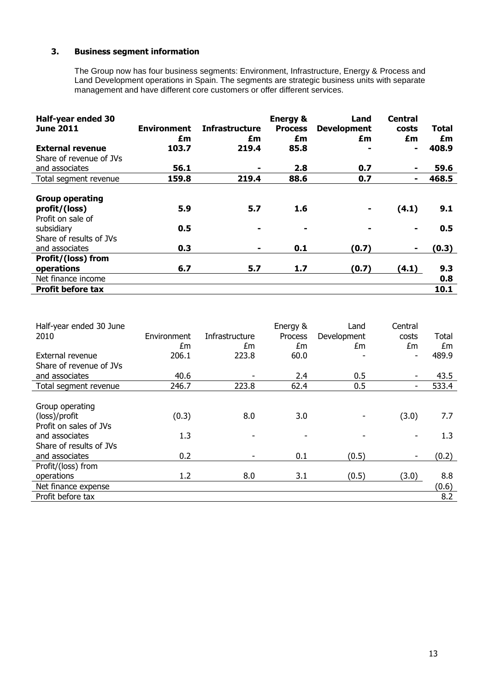# **3. Business segment information**

The Group now has four business segments: Environment, Infrastructure, Energy & Process and Land Development operations in Spain. The segments are strategic business units with separate management and have different core customers or offer different services.

| Half-year ended 30<br><b>June 2011</b>                       | <b>Environment</b><br>£m | <b>Infrastructure</b><br>£m | <b>Energy &amp;</b><br><b>Process</b><br>£m | Land<br><b>Development</b><br>£m | <b>Central</b><br>costs<br>£m | Total<br>£m |
|--------------------------------------------------------------|--------------------------|-----------------------------|---------------------------------------------|----------------------------------|-------------------------------|-------------|
| <b>External revenue</b>                                      | 103.7                    | 219.4                       | 85.8                                        |                                  | ۰                             | 408.9       |
| Share of revenue of JVs                                      |                          |                             |                                             |                                  |                               |             |
| and associates                                               | 56.1                     |                             | 2.8                                         | 0.7                              | ۰                             | 59.6        |
| Total segment revenue                                        | 159.8                    | 219.4                       | 88.6                                        | 0.7                              | ۰                             | 468.5       |
|                                                              |                          |                             |                                             |                                  |                               |             |
| <b>Group operating</b><br>profit/(loss)<br>Profit on sale of | 5.9                      | 5.7                         | 1.6                                         |                                  | (4.1)                         | 9.1         |
| subsidiary                                                   | 0.5                      |                             | ۰                                           |                                  | Ξ.                            | 0.5         |
| Share of results of JVs<br>and associates                    | 0.3                      | ۰                           | 0.1                                         | (0.7)                            | ۰                             | (0.3)       |
| Profit/(loss) from                                           |                          |                             |                                             |                                  |                               |             |
| operations                                                   | 6.7                      | 5.7                         | 1.7                                         | (0.7)                            | (4.1)                         | 9.3         |
| Net finance income                                           |                          |                             |                                             |                                  |                               | 0.8         |
| <b>Profit before tax</b>                                     |                          |                             |                                             |                                  |                               | 10.1        |

| Half-year ended 30 June |             |                | Energy & | Land                     | Central                  |       |
|-------------------------|-------------|----------------|----------|--------------------------|--------------------------|-------|
| 2010                    | Environment | Infrastructure | Process  | Development              | costs                    | Total |
|                         | £m          | £m             | £m       | £m                       | £m                       | £m    |
| External revenue        | 206.1       | 223.8          | 60.0     | $\overline{\phantom{0}}$ | $\blacksquare$           | 489.9 |
| Share of revenue of JVs |             |                |          |                          |                          |       |
| and associates          | 40.6        |                | 2.4      | 0.5                      | $\overline{\phantom{a}}$ | 43.5  |
| Total segment revenue   | 246.7       | 223.8          | 62.4     | 0.5                      | ۰                        | 533.4 |
|                         |             |                |          |                          |                          |       |
| Group operating         |             |                |          |                          |                          |       |
| (loss)/profit           | (0.3)       | 8.0            | 3.0      |                          | (3.0)                    | 7.7   |
| Profit on sales of JVs  |             |                |          |                          |                          |       |
| and associates          | 1.3         |                |          |                          |                          | 1.3   |
| Share of results of JVs |             |                |          |                          |                          |       |
| and associates          | 0.2         |                | 0.1      | (0.5)                    | $\overline{\phantom{a}}$ | (0.2) |
| Profit/(loss) from      |             |                |          |                          |                          |       |
| operations              | 1.2         | 8.0            | 3.1      | (0.5)                    | (3.0)                    | 8.8   |
| Net finance expense     |             |                |          |                          |                          | (0.6) |
| Profit before tax       |             |                |          |                          |                          | 8.2   |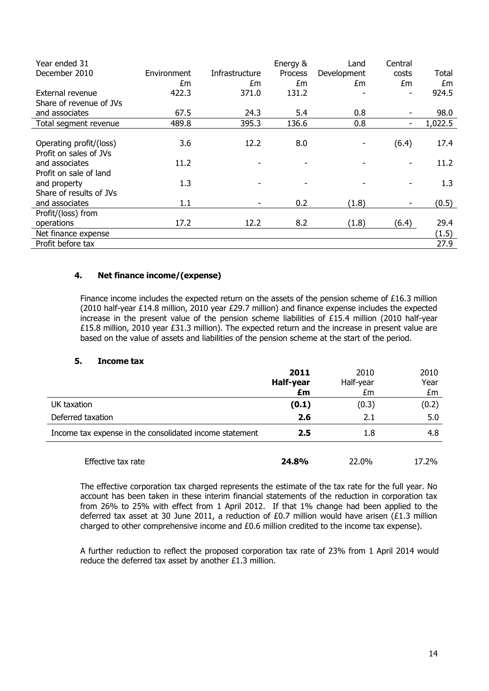| Year ended 31           |             |                | Energy & | Land        | Central                  |         |
|-------------------------|-------------|----------------|----------|-------------|--------------------------|---------|
| December 2010           | Environment | Infrastructure | Process  | Development | costs                    | Total   |
|                         | £m          | £m             | £m       | £m          | £m                       | £m      |
| External revenue        | 422.3       | 371.0          | 131.2    |             | ۰                        | 924.5   |
| Share of revenue of JVs |             |                |          |             |                          |         |
| and associates          | 67.5        | 24.3           | 5.4      | 0.8         | ۰                        | 98.0    |
| Total segment revenue   | 489.8       | 395.3          | 136.6    | 0.8         | $\overline{\phantom{a}}$ | 1,022.5 |
|                         |             |                |          |             |                          |         |
| Operating profit/(loss) | 3.6         | 12.2           | 8.0      | -           | (6.4)                    | 17.4    |
| Profit on sales of JVs  |             |                |          |             |                          |         |
| and associates          | 11.2        |                |          |             | ۰                        | 11.2    |
| Profit on sale of land  |             |                |          |             |                          |         |
| and property            | 1.3         |                |          |             |                          | 1.3     |
| Share of results of JVs |             |                |          |             |                          |         |
| and associates          | 1.1         |                | 0.2      | (1.8)       |                          | (0.5)   |
| Profit/(loss) from      |             |                |          |             |                          |         |
| operations              | 17.2        | 12.2           | 8.2      | (1.8)       | (6.4)                    | 29.4    |
| Net finance expense     |             |                |          |             |                          | (1.5)   |
| Profit before tax       |             |                |          |             |                          | 27.9    |

# **4. Net finance income/(expense)**

Finance income includes the expected return on the assets of the pension scheme of £16.3 million (2010 half-year £14.8 million, 2010 year £29.7 million) and finance expense includes the expected increase in the present value of the pension scheme liabilities of £15.4 million (2010 half-year £15.8 million, 2010 year £31.3 million). The expected return and the increase in present value are based on the value of assets and liabilities of the pension scheme at the start of the period.

# **5. Income tax**

|                                                         | 2011<br>Half-year<br>£m | 2010<br>Half-year<br>£m | 2010<br>Year<br>£m |
|---------------------------------------------------------|-------------------------|-------------------------|--------------------|
| UK taxation                                             | (0.1)                   | (0.3)                   | (0.2)              |
| Deferred taxation                                       | 2.6                     | 2.1                     | 5.0                |
| Income tax expense in the consolidated income statement | 2.5                     | 1.8                     | 4.8                |
| Effective tax rate                                      | 24.8%                   | 22.0%                   | 17.2%              |

The effective corporation tax charged represents the estimate of the tax rate for the full year. No account has been taken in these interim financial statements of the reduction in corporation tax from 26% to 25% with effect from 1 April 2012. If that 1% change had been applied to the deferred tax asset at 30 June 2011, a reduction of £0.7 million would have arisen (£1.3 million charged to other comprehensive income and £0.6 million credited to the income tax expense).

A further reduction to reflect the proposed corporation tax rate of 23% from 1 April 2014 would reduce the deferred tax asset by another £1.3 million.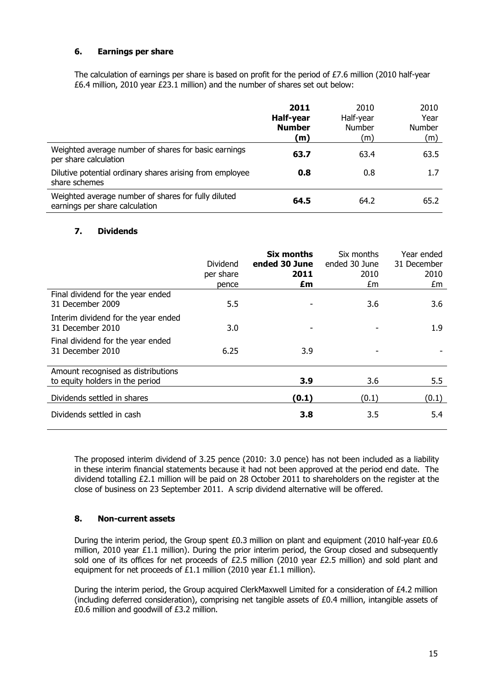# **6. Earnings per share**

The calculation of earnings per share is based on profit for the period of  $E$ 7.6 million (2010 half-year £6.4 million, 2010 year £23.1 million) and the number of shares set out below:

|                                                                                       | 2011<br>Half-year<br><b>Number</b><br>(m) | 2010<br>Half-year<br><b>Number</b><br>(m) | 2010<br>Year<br><b>Number</b><br>(m) |
|---------------------------------------------------------------------------------------|-------------------------------------------|-------------------------------------------|--------------------------------------|
| Weighted average number of shares for basic earnings<br>per share calculation         | 63.7                                      | 63.4                                      | 63.5                                 |
| Dilutive potential ordinary shares arising from employee<br>share schemes             | 0.8                                       | 0.8                                       | 1.7                                  |
| Weighted average number of shares for fully diluted<br>earnings per share calculation | 64.5                                      | 64.2                                      | 65.2                                 |

# **7. Dividends**

|                                                                       | <b>Dividend</b><br>per share<br>pence | Six months<br>ended 30 June<br>2011<br>£m | Six months<br>ended 30 June<br>2010<br>£m | Year ended<br>31 December<br>2010<br>£m |
|-----------------------------------------------------------------------|---------------------------------------|-------------------------------------------|-------------------------------------------|-----------------------------------------|
| Final dividend for the year ended<br>31 December 2009                 | 5.5                                   |                                           | 3.6                                       | 3.6                                     |
| Interim dividend for the year ended<br>31 December 2010               | 3.0                                   |                                           |                                           | 1.9                                     |
| Final dividend for the year ended<br>31 December 2010                 | 6.25                                  | 3.9                                       |                                           |                                         |
| Amount recognised as distributions<br>to equity holders in the period |                                       | 3.9                                       | 3.6                                       | 5.5                                     |
| Dividends settled in shares                                           |                                       | (0.1)                                     | (0.1)                                     | (0.1)                                   |
| Dividends settled in cash                                             |                                       | 3.8                                       | 3.5                                       | 5.4                                     |

The proposed interim dividend of 3.25 pence (2010: 3.0 pence) has not been included as a liability in these interim financial statements because it had not been approved at the period end date. The dividend totalling £2.1 million will be paid on 28 October 2011 to shareholders on the register at the close of business on 23 September 2011. A scrip dividend alternative will be offered.

# **8. Non-current assets**

During the interim period, the Group spent £0.3 million on plant and equipment (2010 half-year £0.6 million, 2010 year  $£1.1$  million). During the prior interim period, the Group closed and subsequently sold one of its offices for net proceeds of £2.5 million (2010 year £2.5 million) and sold plant and equipment for net proceeds of £1.1 million (2010 year £1.1 million).

During the interim period, the Group acquired ClerkMaxwell Limited for a consideration of £4.2 million (including deferred consideration), comprising net tangible assets of £0.4 million, intangible assets of £0.6 million and goodwill of £3.2 million.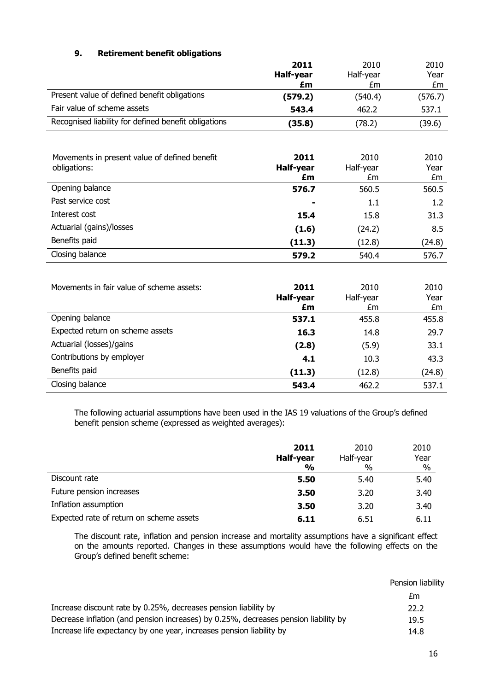# **9. Retirement benefit obligations**

|                                                      | 2011      | 2010      | 2010    |
|------------------------------------------------------|-----------|-----------|---------|
|                                                      | Half-year | Half-year | Year    |
|                                                      | £m        | £m        | £m      |
| Present value of defined benefit obligations         | (579.2)   | (540.4)   | (576.7) |
| Fair value of scheme assets                          | 543.4     | 462.2     | 537.1   |
| Recognised liability for defined benefit obligations | (35.8)    | (78.2)    | (39.6)  |

| Movements in present value of defined benefit<br>obligations: | 2011<br>Half-year<br>£m | 2010<br>Half-year<br>£m | 2010<br>Year<br>£m |
|---------------------------------------------------------------|-------------------------|-------------------------|--------------------|
| Opening balance                                               | 576.7                   | 560.5                   | 560.5              |
| Past service cost                                             | -                       | 1.1                     | 1.2                |
| Interest cost                                                 | 15.4                    | 15.8                    | 31.3               |
| Actuarial (gains)/losses                                      | (1.6)                   | (24.2)                  | 8.5                |
| Benefits paid                                                 | (11.3)                  | (12.8)                  | (24.8)             |
| Closing balance                                               | 579.2                   | 540.4                   | 576.7              |

| Movements in fair value of scheme assets: | 2011<br>Half-year<br>£m | 2010<br>Half-year<br>£m | 2010<br>Year<br>£m |
|-------------------------------------------|-------------------------|-------------------------|--------------------|
| Opening balance                           | 537.1                   | 455.8                   | 455.8              |
| Expected return on scheme assets          | 16.3                    | 14.8                    | 29.7               |
| Actuarial (losses)/gains                  | (2.8)                   | (5.9)                   | 33.1               |
| Contributions by employer                 | 4.1                     | 10.3                    | 43.3               |
| Benefits paid                             | (11.3)                  | (12.8)                  | (24.8)             |
| Closing balance                           | 543.4                   | 462.2                   | 537.1              |

The following actuarial assumptions have been used in the IAS 19 valuations of the Group's defined benefit pension scheme (expressed as weighted averages):

|                                          | 2011<br>Half-year<br>$\frac{0}{0}$ | 2010<br>Half-year<br>% | 2010<br>Year<br>% |
|------------------------------------------|------------------------------------|------------------------|-------------------|
| Discount rate                            | 5.50                               | 5.40                   | 5.40              |
| Future pension increases                 | 3.50                               | 3.20                   | 3.40              |
| Inflation assumption                     | 3.50                               | 3.20                   | 3.40              |
| Expected rate of return on scheme assets | 6.11                               | 6.51                   | 6.11              |

The discount rate, inflation and pension increase and mortality assumptions have a significant effect on the amounts reported. Changes in these assumptions would have the following effects on the Group's defined benefit scheme:

|                                                                                     | Pension liability |
|-------------------------------------------------------------------------------------|-------------------|
|                                                                                     | fm.               |
| Increase discount rate by 0.25%, decreases pension liability by                     | 22.2              |
| Decrease inflation (and pension increases) by 0.25%, decreases pension liability by | 19.5              |
| Increase life expectancy by one year, increases pension liability by                | 14.8              |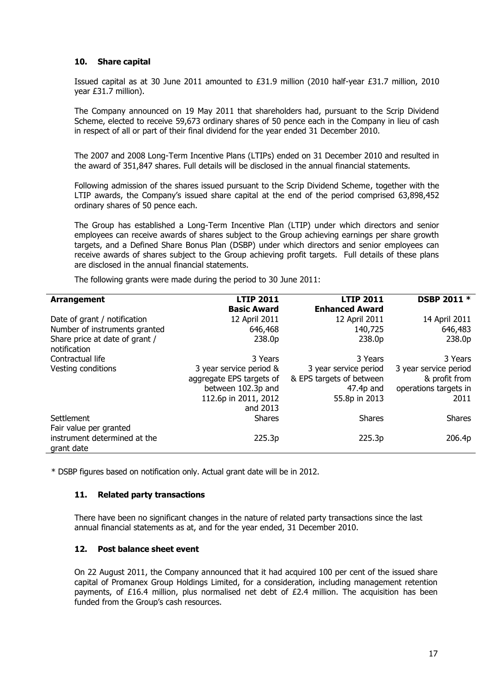# **10. Share capital**

Issued capital as at 30 June 2011 amounted to £31.9 million (2010 half-year £31.7 million, 2010 year £31.7 million).

The Company announced on 19 May 2011 that shareholders had, pursuant to the Scrip Dividend Scheme, elected to receive 59,673 ordinary shares of 50 pence each in the Company in lieu of cash in respect of all or part of their final dividend for the year ended 31 December 2010.

The 2007 and 2008 Long-Term Incentive Plans (LTIPs) ended on 31 December 2010 and resulted in the award of 351,847 shares. Full details will be disclosed in the annual financial statements.

Following admission of the shares issued pursuant to the Scrip Dividend Scheme, together with the LTIP awards, the Company's issued share capital at the end of the period comprised 63,898,452 ordinary shares of 50 pence each.

The Group has established a Long-Term Incentive Plan (LTIP) under which directors and senior employees can receive awards of shares subject to the Group achieving earnings per share growth targets, and a Defined Share Bonus Plan (DSBP) under which directors and senior employees can receive awards of shares subject to the Group achieving profit targets. Full details of these plans are disclosed in the annual financial statements.

The following grants were made during the period to 30 June 2011:

| <b>Arrangement</b>             | <b>LTIP 2011</b>         | <b>LTIP 2011</b>         | DSBP 2011 *           |
|--------------------------------|--------------------------|--------------------------|-----------------------|
|                                | <b>Basic Award</b>       | <b>Enhanced Award</b>    |                       |
| Date of grant / notification   | 12 April 2011            | 12 April 2011            | 14 April 2011         |
| Number of instruments granted  | 646,468                  | 140,725                  | 646,483               |
| Share price at date of grant / | 238.0p                   | 238.0p                   | 238.0p                |
| notification                   |                          |                          |                       |
| Contractual life               | 3 Years                  | 3 Years                  | 3 Years               |
| Vesting conditions             | 3 year service period &  | 3 year service period    | 3 year service period |
|                                | aggregate EPS targets of | & EPS targets of between | & profit from         |
|                                | between 102.3p and       | $47.4p$ and              | operations targets in |
|                                | 112.6p in 2011, 2012     | 55.8p in 2013            | 2011                  |
|                                | and 2013                 |                          |                       |
| Settlement                     | <b>Shares</b>            | <b>Shares</b>            | <b>Shares</b>         |
| Fair value per granted         |                          |                          |                       |
| instrument determined at the   | 225.3p                   | 225.3p                   | 206.4p                |
| grant date                     |                          |                          |                       |

\* DSBP figures based on notification only. Actual grant date will be in 2012.

# **11. Related party transactions**

There have been no significant changes in the nature of related party transactions since the last annual financial statements as at, and for the year ended, 31 December 2010.

# **12. Post balance sheet event**

On 22 August 2011, the Company announced that it had acquired 100 per cent of the issued share capital of Promanex Group Holdings Limited, for a consideration, including management retention payments, of £16.4 million, plus normalised net debt of £2.4 million. The acquisition has been funded from the Group's cash resources.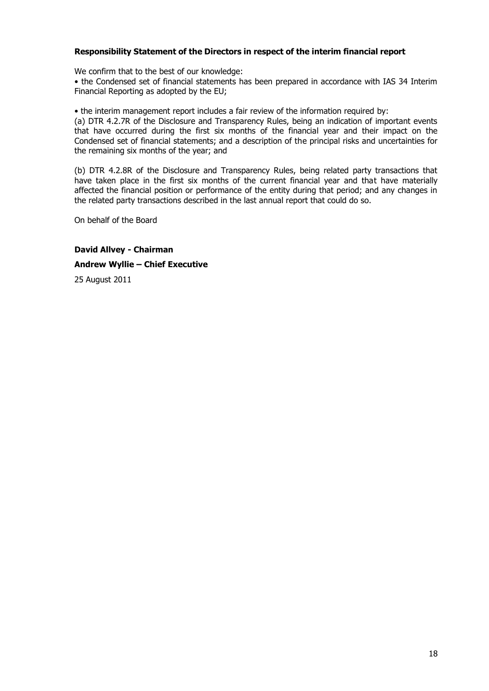# **Responsibility Statement of the Directors in respect of the interim financial report**

We confirm that to the best of our knowledge:

• the Condensed set of financial statements has been prepared in accordance with IAS 34 Interim Financial Reporting as adopted by the EU;

• the interim management report includes a fair review of the information required by:

(a) DTR 4.2.7R of the Disclosure and Transparency Rules, being an indication of important events that have occurred during the first six months of the financial year and their impact on the Condensed set of financial statements; and a description of the principal risks and uncertainties for the remaining six months of the year; and

(b) DTR 4.2.8R of the Disclosure and Transparency Rules, being related party transactions that have taken place in the first six months of the current financial year and that have materially affected the financial position or performance of the entity during that period; and any changes in the related party transactions described in the last annual report that could do so.

On behalf of the Board

# **David Allvey - Chairman**

# **Andrew Wyllie – Chief Executive**

25 August 2011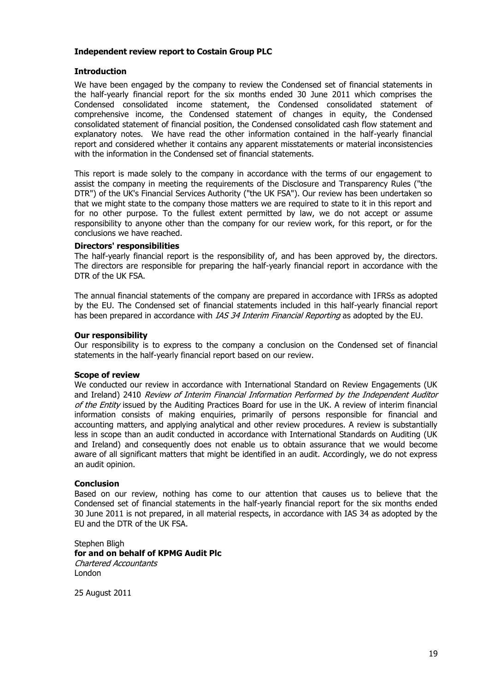# **Independent review report to Costain Group PLC**

# **Introduction**

We have been engaged by the company to review the Condensed set of financial statements in the half-yearly financial report for the six months ended 30 June 2011 which comprises the Condensed consolidated income statement, the Condensed consolidated statement of comprehensive income, the Condensed statement of changes in equity, the Condensed consolidated statement of financial position, the Condensed consolidated cash flow statement and explanatory notes. We have read the other information contained in the half-yearly financial report and considered whether it contains any apparent misstatements or material inconsistencies with the information in the Condensed set of financial statements.

This report is made solely to the company in accordance with the terms of our engagement to assist the company in meeting the requirements of the Disclosure and Transparency Rules ("the DTR") of the UK's Financial Services Authority ("the UK FSA"). Our review has been undertaken so that we might state to the company those matters we are required to state to it in this report and for no other purpose. To the fullest extent permitted by law, we do not accept or assume responsibility to anyone other than the company for our review work, for this report, or for the conclusions we have reached.

#### **Directors' responsibilities**

The half-yearly financial report is the responsibility of, and has been approved by, the directors. The directors are responsible for preparing the half-yearly financial report in accordance with the DTR of the UK FSA.

The annual financial statements of the company are prepared in accordance with IFRSs as adopted by the EU. The Condensed set of financial statements included in this half-yearly financial report has been prepared in accordance with *IAS 34 Interim Financial Reporting* as adopted by the EU.

# **Our responsibility**

Our responsibility is to express to the company a conclusion on the Condensed set of financial statements in the half-yearly financial report based on our review.

#### **Scope of review**

We conducted our review in accordance with International Standard on Review Engagements (UK and Ireland) 2410 Review of Interim Financial Information Performed by the Independent Auditor of the Entity issued by the Auditing Practices Board for use in the UK. A review of interim financial information consists of making enquiries, primarily of persons responsible for financial and accounting matters, and applying analytical and other review procedures. A review is substantially less in scope than an audit conducted in accordance with International Standards on Auditing (UK and Ireland) and consequently does not enable us to obtain assurance that we would become aware of all significant matters that might be identified in an audit. Accordingly, we do not express an audit opinion.

#### **Conclusion**

Based on our review, nothing has come to our attention that causes us to believe that the Condensed set of financial statements in the half-yearly financial report for the six months ended 30 June 2011 is not prepared, in all material respects, in accordance with IAS 34 as adopted by the EU and the DTR of the UK FSA.

Stephen Bligh **for and on behalf of KPMG Audit Plc** Chartered Accountants London

25 August 2011